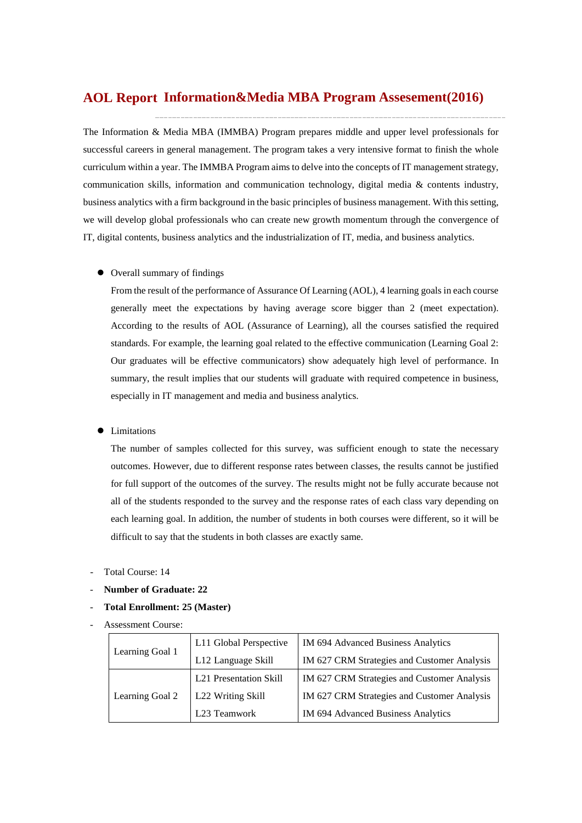# **Information&Media MBA Program Assesement(2016) AOL Report**

The Information & Media MBA (IMMBA) Program prepares middle and upper level professionals for successful careers in general management. The program takes a very intensive format to finish the whole curriculum within a year. The IMMBA Program aims to delve into the concepts of IT management strategy, communication skills, information and communication technology, digital media & contents industry, business analytics with a firm background in the basic principles of business management. With this setting, we will develop global professionals who can create new growth momentum through the convergence of IT, digital contents, business analytics and the industrialization of IT, media, and business analytics.

#### Overall summary of findings

From the result of the performance of Assurance Of Learning (AOL), 4 learning goals in each course generally meet the expectations by having average score bigger than 2 (meet expectation). According to the results of AOL (Assurance of Learning), all the courses satisfied the required standards. For example, the learning goal related to the effective communication (Learning Goal 2: Our graduates will be effective communicators) show adequately high level of performance. In summary, the result implies that our students will graduate with required competence in business, especially in IT management and media and business analytics.

#### Limitations

The number of samples collected for this survey, was sufficient enough to state the necessary outcomes. However, due to different response rates between classes, the results cannot be justified for full support of the outcomes of the survey. The results might not be fully accurate because not all of the students responded to the survey and the response rates of each class vary depending on each learning goal. In addition, the number of students in both courses were different, so it will be difficult to say that the students in both classes are exactly same.

- Total Course: 14
- **Number of Graduate: 22**
- **Total Enrollment: 25 (Master)**
- Assessment Course:

| Learning Goal 1 | L11 Global Perspective   | IM 694 Advanced Business Analytics          |  |  |
|-----------------|--------------------------|---------------------------------------------|--|--|
|                 | L12 Language Skill       | IM 627 CRM Strategies and Customer Analysis |  |  |
|                 | L21 Presentation Skill   | IM 627 CRM Strategies and Customer Analysis |  |  |
| Learning Goal 2 | L22 Writing Skill        | IM 627 CRM Strategies and Customer Analysis |  |  |
|                 | L <sub>23</sub> Teamwork | IM 694 Advanced Business Analytics          |  |  |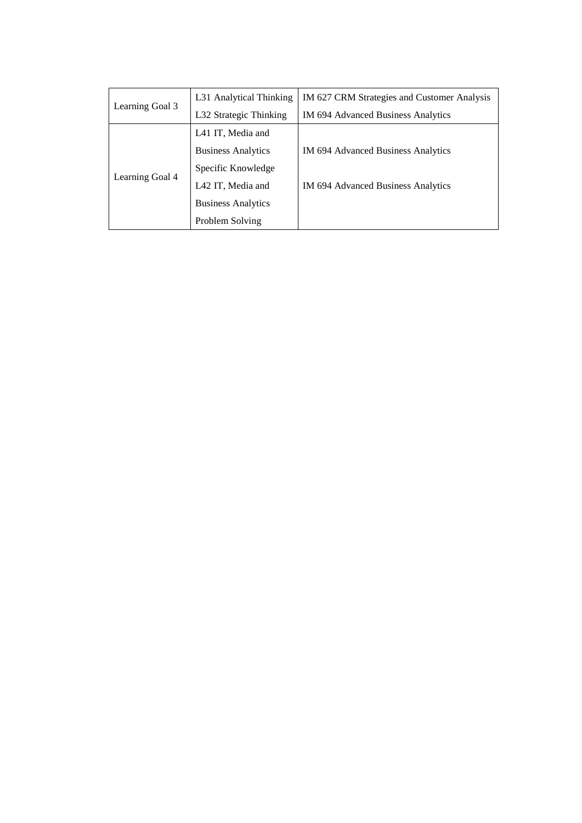|                 | L31 Analytical Thinking   | IM 627 CRM Strategies and Customer Analysis |  |  |
|-----------------|---------------------------|---------------------------------------------|--|--|
| Learning Goal 3 | L32 Strategic Thinking    | IM 694 Advanced Business Analytics          |  |  |
|                 | L41 IT, Media and         |                                             |  |  |
|                 | <b>Business Analytics</b> | IM 694 Advanced Business Analytics          |  |  |
|                 | Specific Knowledge        |                                             |  |  |
| Learning Goal 4 | L42 IT, Media and         | IM 694 Advanced Business Analytics          |  |  |
|                 | <b>Business Analytics</b> |                                             |  |  |
|                 | Problem Solving           |                                             |  |  |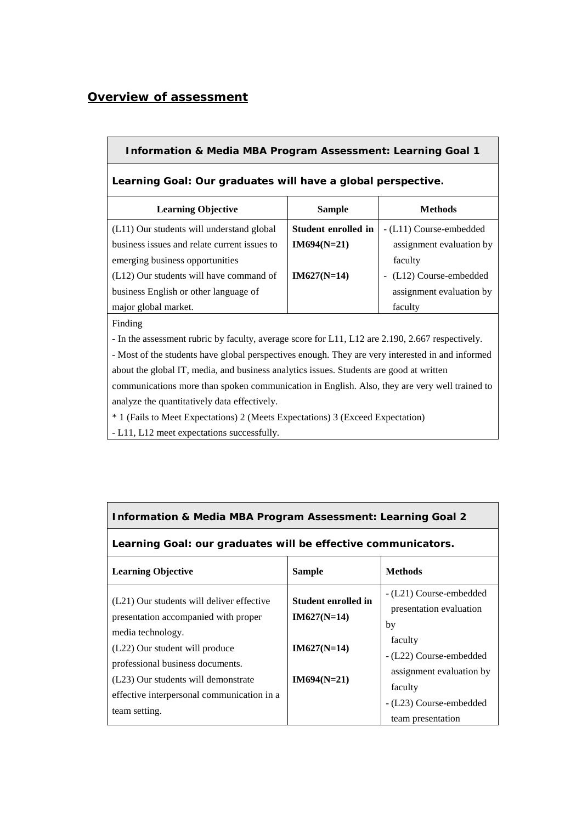## *Overview of assessment*

| <b>Information &amp; Media MBA Program Assessment: Learning Goal 1</b> |                     |                          |  |  |  |  |
|------------------------------------------------------------------------|---------------------|--------------------------|--|--|--|--|
| Learning Goal: Our graduates will have a global perspective.           |                     |                          |  |  |  |  |
| <b>Learning Objective</b>                                              | <b>Sample</b>       | <b>Methods</b>           |  |  |  |  |
| (L11) Our students will understand global                              | Student enrolled in | - (L11) Course-embedded  |  |  |  |  |
| business issues and relate current issues to                           | $IM694(N=21)$       | assignment evaluation by |  |  |  |  |
| emerging business opportunities                                        |                     | faculty                  |  |  |  |  |
| $(L12)$ Our students will have command of                              | $IM627(N=14)$       | - (L12) Course-embedded  |  |  |  |  |
| business English or other language of                                  |                     | assignment evaluation by |  |  |  |  |
| major global market.                                                   |                     | faculty                  |  |  |  |  |
| Finding                                                                |                     |                          |  |  |  |  |
|                                                                        |                     |                          |  |  |  |  |

**-** In the assessment rubric by faculty, average score for L11, L12 are 2.190, 2.667 respectively.

- Most of the students have global perspectives enough. They are very interested in and informed about the global IT, media, and business analytics issues. Students are good at written

communications more than spoken communication in English. Also, they are very well trained to analyze the quantitatively data effectively.

\* 1 (Fails to Meet Expectations) 2 (Meets Expectations) 3 (Exceed Expectation)

- L11, L12 meet expectations successfully.

| <b>Information &amp; Media MBA Program Assessment: Learning Goal 2</b> |
|------------------------------------------------------------------------|
|                                                                        |

### **Learning Goal: our graduates will be effective communicators.**

| <b>Learning Objective</b>                                                                                                                                                                                                                                                          | <b>Sample</b>                                                                 | <b>Methods</b>                                                                                                                                                   |
|------------------------------------------------------------------------------------------------------------------------------------------------------------------------------------------------------------------------------------------------------------------------------------|-------------------------------------------------------------------------------|------------------------------------------------------------------------------------------------------------------------------------------------------------------|
| (L21) Our students will deliver effective<br>presentation accompanied with proper<br>media technology.<br>(L22) Our student will produce<br>professional business documents.<br>(L23) Our students will demonstrate<br>effective interpersonal communication in a<br>team setting. | <b>Student enrolled in</b><br>$IM627(N=14)$<br>$IM627(N=14)$<br>$IM694(N=21)$ | - (L21) Course-embedded<br>presentation evaluation<br>by<br>faculty<br>- (L22) Course-embedded<br>assignment evaluation by<br>faculty<br>- (L23) Course-embedded |
|                                                                                                                                                                                                                                                                                    |                                                                               | team presentation                                                                                                                                                |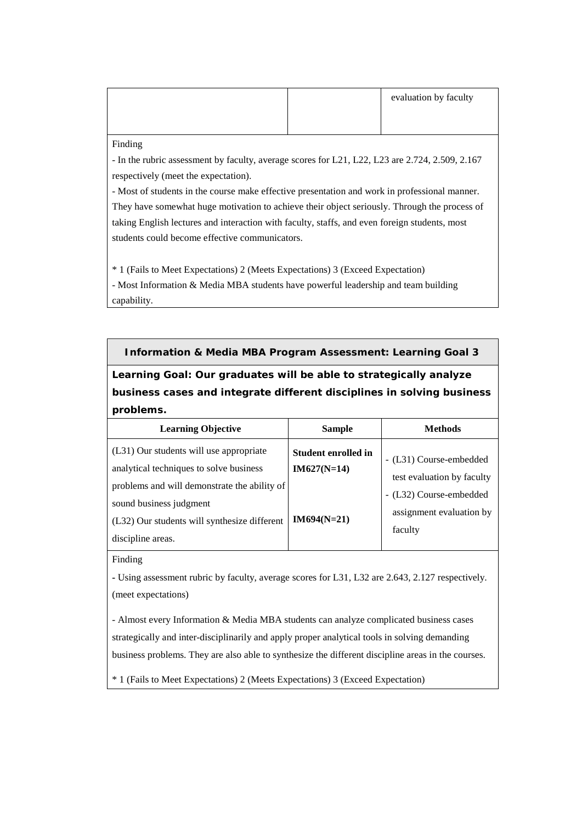|  | evaluation by faculty |
|--|-----------------------|
|  |                       |

Finding

- In the rubric assessment by faculty, average scores for L21, L22, L23 are 2.724, 2.509, 2.167 respectively (meet the expectation).

- Most of students in the course make effective presentation and work in professional manner. They have somewhat huge motivation to achieve their object seriously. Through the process of taking English lectures and interaction with faculty, staffs, and even foreign students, most students could become effective communicators.

\* 1 (Fails to Meet Expectations) 2 (Meets Expectations) 3 (Exceed Expectation)

- Most Information & Media MBA students have powerful leadership and team building capability.

### **Information & Media MBA Program Assessment: Learning Goal 3**

**Learning Goal: Our graduates will be able to strategically analyze business cases and integrate different disciplines in solving business problems.**

| <b>Learning Objective</b>                                                                                                                                                                                                          | <b>Sample</b>                                                | <b>Methods</b>                                                                                                          |
|------------------------------------------------------------------------------------------------------------------------------------------------------------------------------------------------------------------------------------|--------------------------------------------------------------|-------------------------------------------------------------------------------------------------------------------------|
| (L31) Our students will use appropriate<br>analytical techniques to solve business<br>problems and will demonstrate the ability of<br>sound business judgment<br>(L32) Our students will synthesize different<br>discipline areas. | <b>Student enrolled in</b><br>$IM627(N=14)$<br>$IM694(N=21)$ | - (L31) Course-embedded<br>test evaluation by faculty<br>- (L32) Course-embedded<br>assignment evaluation by<br>faculty |

Finding

**-** Using assessment rubric by faculty, average scores for L31, L32 are 2.643, 2.127 respectively. (meet expectations)

- Almost every Information & Media MBA students can analyze complicated business cases strategically and inter-disciplinarily and apply proper analytical tools in solving demanding business problems. They are also able to synthesize the different discipline areas in the courses.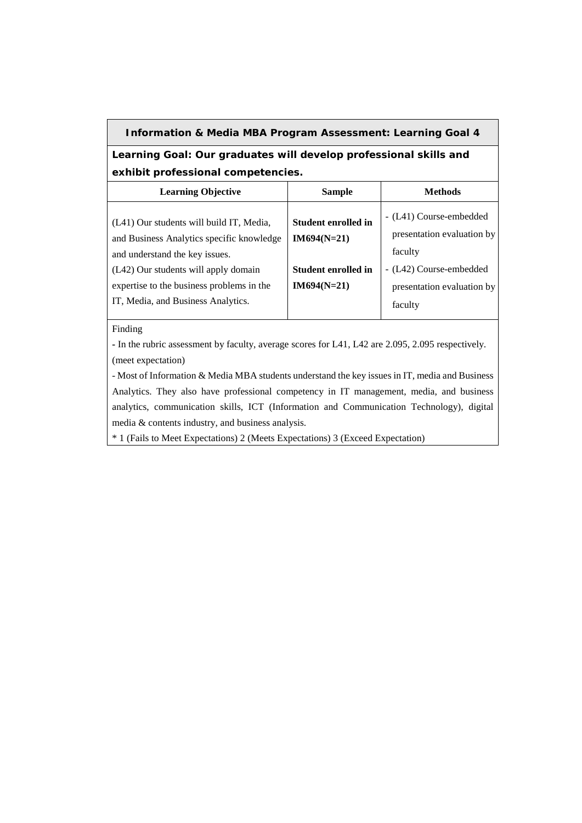### **Information & Media MBA Program Assessment: Learning Goal 4**

**Learning Goal: Our graduates will develop professional skills and exhibit professional competencies.**

| <b>Learning Objective</b>                                                                                                                                                                                                                          | <b>Sample</b>                                                                       | <b>Methods</b>                                                                                                                       |
|----------------------------------------------------------------------------------------------------------------------------------------------------------------------------------------------------------------------------------------------------|-------------------------------------------------------------------------------------|--------------------------------------------------------------------------------------------------------------------------------------|
| (L41) Our students will build IT, Media,<br>and Business Analytics specific knowledge<br>and understand the key issues.<br>(L42) Our students will apply domain<br>expertise to the business problems in the<br>IT, Media, and Business Analytics. | <b>Student enrolled in</b><br>$IM694(N=21)$<br>Student enrolled in<br>$IM694(N=21)$ | - (L41) Course-embedded<br>presentation evaluation by<br>faculty<br>- (L42) Course-embedded<br>presentation evaluation by<br>faculty |

#### Finding

**-** In the rubric assessment by faculty, average scores for L41, L42 are 2.095, 2.095 respectively. (meet expectation)

- Most of Information & Media MBA students understand the key issues in IT, media and Business Analytics. They also have professional competency in IT management, media, and business analytics, communication skills, ICT (Information and Communication Technology), digital media & contents industry, and business analysis.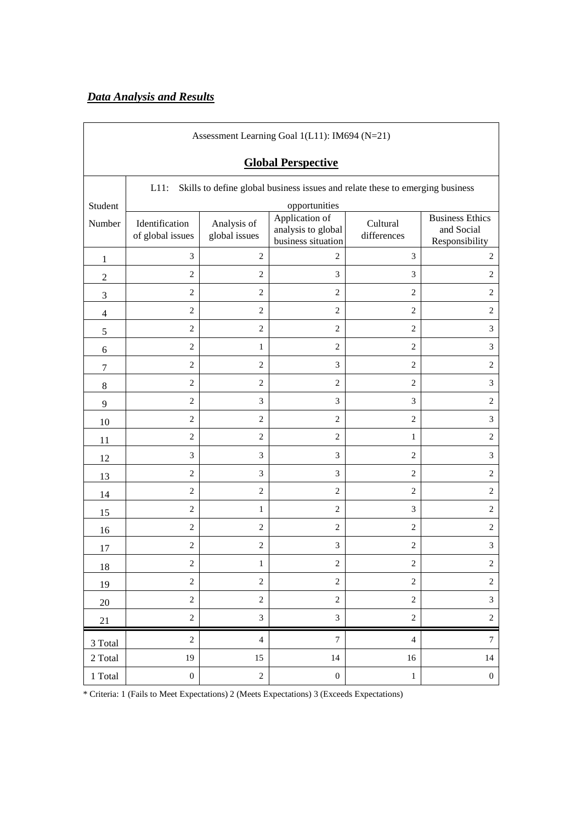# *Data Analysis and Results*

 $\overline{1}$ 

| Assessment Learning Goal 1(L11): IM694 (N=21) |                                    |                              |                                                                               |                         |                                                        |  |  |  |  |
|-----------------------------------------------|------------------------------------|------------------------------|-------------------------------------------------------------------------------|-------------------------|--------------------------------------------------------|--|--|--|--|
|                                               | <b>Global Perspective</b>          |                              |                                                                               |                         |                                                        |  |  |  |  |
|                                               | $L11$ :                            |                              | Skills to define global business issues and relate these to emerging business |                         |                                                        |  |  |  |  |
| Student                                       | opportunities                      |                              |                                                                               |                         |                                                        |  |  |  |  |
| Number                                        | Identification<br>of global issues | Analysis of<br>global issues | Application of<br>analysis to global<br>business situation                    | Cultural<br>differences | <b>Business Ethics</b><br>and Social<br>Responsibility |  |  |  |  |
| 1                                             | 3                                  | $\mathbf{2}$                 | 2                                                                             | 3                       | 2                                                      |  |  |  |  |
| $\boldsymbol{2}$                              | $\overline{2}$                     | 2                            | 3                                                                             | 3                       | $\overline{2}$                                         |  |  |  |  |
| 3                                             | $\mathbf{2}$                       | $\sqrt{2}$                   | $\overline{c}$                                                                | $\sqrt{2}$              | $\overline{c}$                                         |  |  |  |  |
| $\overline{4}$                                | $\overline{2}$                     | $\mathbf{2}$                 | $\overline{c}$                                                                | $\mathbf{2}$            | $\mathbf{2}$                                           |  |  |  |  |
| 5                                             | $\mathbf{2}$                       | $\sqrt{2}$                   | $\overline{c}$                                                                | $\mathbf{2}$            | $\ensuremath{\mathfrak{Z}}$                            |  |  |  |  |
| 6                                             | $\mathbf{2}$                       | $\mathbf{1}$                 | $\mathbf{2}$                                                                  | $\mathbf{2}$            | 3                                                      |  |  |  |  |
| 7                                             | $\mathbf{2}$                       | $\overline{2}$               | 3                                                                             | $\overline{c}$          | $\sqrt{2}$                                             |  |  |  |  |
| 8                                             | $\overline{2}$                     | 2                            | $\overline{c}$                                                                | $\mathbf{2}$            | $\ensuremath{\mathfrak{Z}}$                            |  |  |  |  |
| 9                                             | $\sqrt{2}$                         | 3                            | 3                                                                             | 3                       | $\sqrt{2}$                                             |  |  |  |  |
| 10                                            | $\mathbf{2}$                       | $\mathbf{2}$                 | $\overline{c}$                                                                | $\overline{c}$          | $\ensuremath{\mathfrak{Z}}$                            |  |  |  |  |
| 11                                            | $\mathbf{2}$                       | $\sqrt{2}$                   | 2                                                                             | $\mathbf{1}$            | $\mathbf{2}$                                           |  |  |  |  |
| 12                                            | 3                                  | 3                            | 3                                                                             | $\sqrt{2}$              | 3                                                      |  |  |  |  |
| 13                                            | $\mathbf{2}$                       | 3                            | 3                                                                             | $\mathbf{2}$            | $\sqrt{2}$                                             |  |  |  |  |
| 14                                            | $\overline{2}$                     | $\overline{c}$               | $\overline{c}$                                                                | $\overline{c}$          | $\overline{c}$                                         |  |  |  |  |
| 15                                            | $\overline{2}$                     | 1                            | $\overline{c}$                                                                | 3                       | $\sqrt{2}$                                             |  |  |  |  |
| 16                                            | $\overline{2}$                     | $\sqrt{2}$                   | $\overline{c}$                                                                | $\mathbf{2}$            | $\mathbf{2}$                                           |  |  |  |  |
| 17                                            | $\overline{2}$                     | $\overline{c}$               | 3                                                                             | $\overline{2}$          | $\ensuremath{\mathfrak{Z}}$                            |  |  |  |  |
| 18                                            | $\mathbf{2}$                       | $\mathbf{1}$                 | $\overline{c}$                                                                | $\overline{c}$          | $\sqrt{2}$                                             |  |  |  |  |
| 19                                            | $\overline{2}$                     | $\sqrt{2}$                   | $\mathbf{2}$                                                                  | $\overline{c}$          | $\overline{2}$                                         |  |  |  |  |
| $20\,$                                        | $\overline{2}$                     | $\sqrt{2}$                   | $\overline{c}$                                                                | $\mathbf{2}$            | $\ensuremath{\mathfrak{Z}}$                            |  |  |  |  |
| 21                                            | $\sqrt{2}$                         | $\mathfrak{Z}$               | 3                                                                             | $\sqrt{2}$              | $\sqrt{2}$                                             |  |  |  |  |
| 3 Total                                       | $\overline{2}$                     | $\overline{4}$               | $\tau$                                                                        | $\overline{4}$          | $\overline{7}$                                         |  |  |  |  |
| 2 Total                                       | 19                                 | 15                           | 14                                                                            | 16                      | 14                                                     |  |  |  |  |
| 1 Total                                       | $\boldsymbol{0}$                   | $\sqrt{2}$                   | $\boldsymbol{0}$                                                              | $\mathbf{1}$            | $\boldsymbol{0}$                                       |  |  |  |  |

┓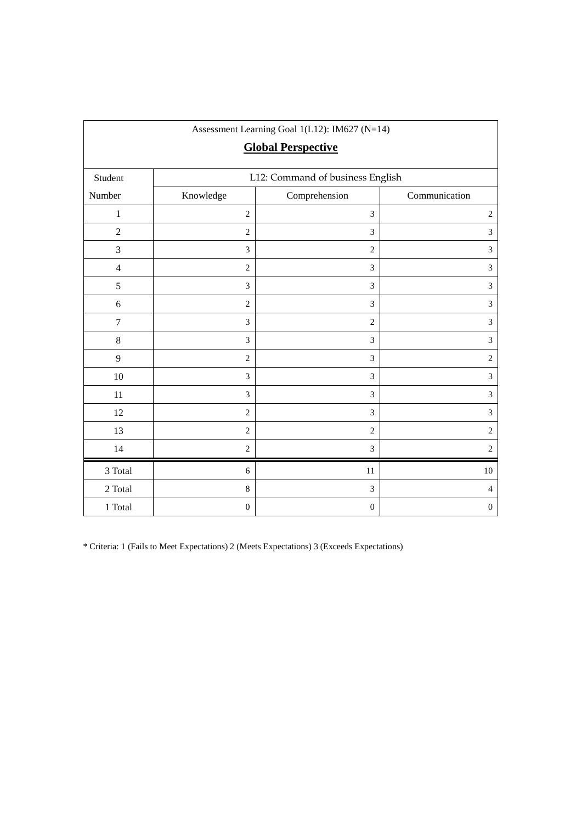| Assessment Learning Goal 1(L12): IM627 (N=14)<br><b>Global Perspective</b> |                  |                                  |                  |  |  |
|----------------------------------------------------------------------------|------------------|----------------------------------|------------------|--|--|
| Student                                                                    |                  | L12: Command of business English |                  |  |  |
| Number                                                                     | Knowledge        | Comprehension                    | Communication    |  |  |
| $\,1$                                                                      | $\overline{c}$   | 3                                | $\sqrt{2}$       |  |  |
| $\boldsymbol{2}$                                                           | $\overline{2}$   | 3                                | $\mathfrak{Z}$   |  |  |
| 3                                                                          | 3                | $\overline{c}$                   | $\overline{3}$   |  |  |
| $\overline{4}$                                                             | $\mathbf{2}$     | 3                                | $\mathfrak{Z}$   |  |  |
| 5                                                                          | 3                | $\mathfrak{Z}$                   | $\mathfrak{Z}$   |  |  |
| $\sqrt{6}$                                                                 | $\overline{2}$   | 3                                | $\mathfrak{Z}$   |  |  |
| $\boldsymbol{7}$                                                           | 3                | $\boldsymbol{2}$                 | $\mathfrak{Z}$   |  |  |
| $\,8\,$                                                                    | 3                | $\mathfrak{Z}$                   | $\mathfrak{Z}$   |  |  |
| 9                                                                          | $\overline{c}$   | 3                                | $\overline{2}$   |  |  |
| 10                                                                         | 3                | 3                                | $\mathfrak{Z}$   |  |  |
| 11                                                                         | 3                | 3                                | $\mathfrak{Z}$   |  |  |
| 12                                                                         | $\overline{c}$   | 3                                | 3                |  |  |
| 13                                                                         | $\mathbf{2}$     | $\overline{c}$                   | $\mathbf{2}$     |  |  |
| 14                                                                         | $\overline{c}$   | 3                                | $\overline{2}$   |  |  |
| 3 Total                                                                    | 6                | 11                               | 10               |  |  |
| 2 Total                                                                    | $\,8\,$          | 3                                | $\overline{4}$   |  |  |
| 1 Total                                                                    | $\boldsymbol{0}$ | $\boldsymbol{0}$                 | $\boldsymbol{0}$ |  |  |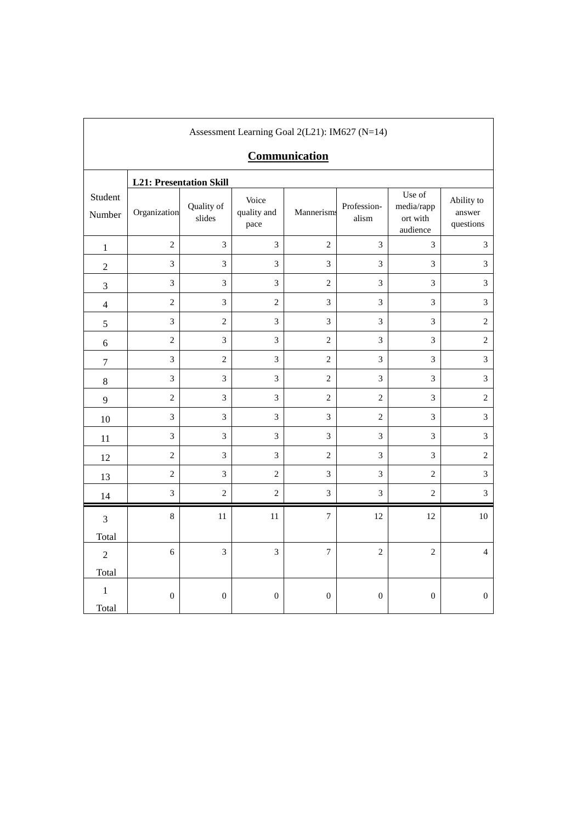|                   | Assessment Learning Goal 2(L21): IM627 (N=14) |                      |                              |                      |                             |                                              |                                   |  |  |
|-------------------|-----------------------------------------------|----------------------|------------------------------|----------------------|-----------------------------|----------------------------------------------|-----------------------------------|--|--|
|                   |                                               |                      |                              | <b>Communication</b> |                             |                                              |                                   |  |  |
|                   | <b>L21: Presentation Skill</b>                |                      |                              |                      |                             |                                              |                                   |  |  |
| Student<br>Number | Organization                                  | Quality of<br>slides | Voice<br>quality and<br>pace | Mannerisms           | Profession-<br>alism        | Use of<br>media/rapp<br>ort with<br>audience | Ability to<br>answer<br>questions |  |  |
| $\,1$             | $\overline{2}$                                | 3                    | $\overline{3}$               | $\overline{2}$       | 3                           | 3                                            | $\mathfrak{Z}$                    |  |  |
| $\sqrt{2}$        | 3                                             | 3                    | $\mathfrak{Z}$               | $\mathfrak{Z}$       | 3                           | 3                                            | 3                                 |  |  |
| $\mathfrak{Z}$    | 3                                             | 3                    | 3                            | $\overline{2}$       | 3                           | 3                                            | 3                                 |  |  |
| $\overline{4}$    | $\sqrt{2}$                                    | 3                    | $\overline{c}$               | $\overline{3}$       | $\mathfrak{Z}$              | 3                                            | $\overline{3}$                    |  |  |
| 5                 | $\overline{3}$                                | $\overline{2}$       | $\mathfrak{Z}$               | 3                    | $\mathfrak{Z}$              | 3                                            | $\overline{c}$                    |  |  |
| 6                 | $\sqrt{2}$                                    | 3                    | 3                            | $\overline{2}$       | 3                           | 3                                            | $\overline{2}$                    |  |  |
| $\boldsymbol{7}$  | $\mathfrak{Z}$                                | $\overline{c}$       | 3                            | $\overline{2}$       | $\ensuremath{\mathfrak{Z}}$ | 3                                            | $\mathfrak{Z}$                    |  |  |
| $\,8\,$           | $\mathfrak 3$                                 | 3                    | $\mathfrak{Z}$               | $\overline{2}$       | $\ensuremath{\mathfrak{Z}}$ | 3                                            | $\mathfrak{Z}$                    |  |  |
| $\overline{9}$    | $\overline{c}$                                | $\overline{3}$       | $\mathfrak{Z}$               | $\sqrt{2}$           | $\sqrt{2}$                  | 3                                            | $\overline{c}$                    |  |  |
| 10                | 3                                             | 3                    | 3                            | 3                    | $\overline{2}$              | 3                                            | $\mathfrak{Z}$                    |  |  |
| 11                | 3                                             | 3                    | 3                            | 3                    | 3                           | 3                                            | 3                                 |  |  |
| 12                | $\overline{c}$                                | 3                    | 3                            | $\overline{2}$       | $\mathfrak{Z}$              | 3                                            | $\sqrt{2}$                        |  |  |
| 13                | $\overline{c}$                                | 3                    | $\overline{2}$               | $\overline{3}$       | 3                           | $\overline{c}$                               | $\mathfrak{Z}$                    |  |  |
| 14                | 3                                             | $\overline{c}$       | $\overline{2}$               | $\overline{3}$       | 3                           | $\overline{c}$                               | 3                                 |  |  |
| 3                 | $\,8\,$                                       | 11                   | 11                           | $\boldsymbol{7}$     | 12                          | 12                                           | 10                                |  |  |
| Total             |                                               |                      |                              |                      |                             |                                              |                                   |  |  |
| $\overline{2}$    | $\sqrt{6}$                                    | 3                    | $\mathfrak{Z}$               | $\overline{7}$       | $\overline{c}$              | $\overline{c}$                               | $\overline{4}$                    |  |  |
| Total             |                                               |                      |                              |                      |                             |                                              |                                   |  |  |
| $\,1$<br>Total    | $\mathbf{0}$                                  | $\mathbf{0}$         | $\boldsymbol{0}$             | $\mathbf{0}$         | $\boldsymbol{0}$            | $\boldsymbol{0}$                             | $\boldsymbol{0}$                  |  |  |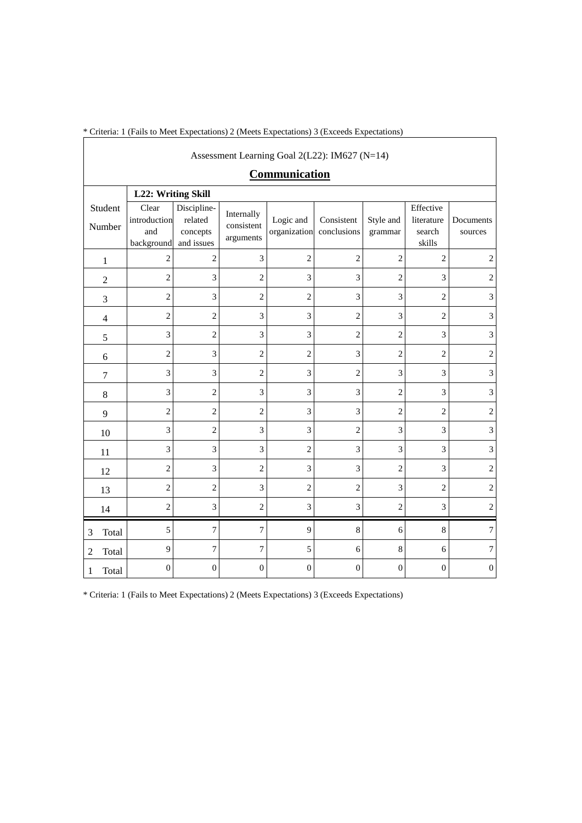\* Criteria: 1 (Fails to Meet Expectations) 2 (Meets Expectations) 3 (Exceeds Expectations)

|                | Assessment Learning Goal 2(L22): IM627 (N=14) |                                            |                                                  |                                       |                           |                           |                      |                                             |                      |
|----------------|-----------------------------------------------|--------------------------------------------|--------------------------------------------------|---------------------------------------|---------------------------|---------------------------|----------------------|---------------------------------------------|----------------------|
|                | Communication                                 |                                            |                                                  |                                       |                           |                           |                      |                                             |                      |
|                | L22: Writing Skill                            |                                            |                                                  |                                       |                           |                           |                      |                                             |                      |
|                | Student<br>Number                             | Clear<br>introduction<br>and<br>background | Discipline-<br>related<br>concepts<br>and issues | Internally<br>consistent<br>arguments | Logic and<br>organization | Consistent<br>conclusions | Style and<br>grammar | Effective<br>literature<br>search<br>skills | Documents<br>sources |
|                | $\mathbf{1}$                                  | $\overline{c}$                             | $\overline{c}$                                   | 3                                     | $\overline{c}$            | $\overline{c}$            | $\overline{c}$       | $\overline{c}$                              | $\boldsymbol{2}$     |
|                | $\overline{c}$                                | $\overline{2}$                             | 3                                                | $\overline{c}$                        | 3                         | 3                         | $\overline{2}$       | 3                                           | $\mathbf{2}$         |
|                | 3                                             | $\overline{2}$                             | 3                                                | $\overline{c}$                        | $\overline{2}$            | 3                         | 3                    | $\overline{c}$                              | 3                    |
|                | $\overline{4}$                                | $\overline{c}$                             | $\overline{c}$                                   | 3                                     | 3                         | $\overline{2}$            | 3                    | $\overline{2}$                              | 3                    |
|                | 5                                             | 3                                          | $\overline{c}$                                   | 3                                     | 3                         | $\overline{2}$            | $\overline{c}$       | 3                                           | 3                    |
|                | 6                                             | $\overline{c}$                             | 3                                                | $\overline{c}$                        | $\overline{c}$            | $\mathfrak{Z}$            | $\overline{c}$       | $\overline{c}$                              | $\mathbf{2}$         |
|                | $\boldsymbol{7}$                              | 3                                          | 3                                                | $\overline{c}$                        | 3                         | $\overline{2}$            | 3                    | 3                                           | 3                    |
|                | 8                                             | 3                                          | $\overline{c}$                                   | 3                                     | 3                         | 3                         | $\overline{c}$       | 3                                           | 3                    |
|                | 9                                             | $\overline{c}$                             | $\overline{c}$                                   | $\overline{c}$                        | 3                         | 3                         | $\overline{c}$       | $\overline{c}$                              | $\overline{2}$       |
|                | 10                                            | 3                                          | $\overline{2}$                                   | 3                                     | 3                         | $\overline{2}$            | 3                    | 3                                           | 3                    |
|                | 11                                            | 3                                          | 3                                                | 3                                     | $\overline{2}$            | 3                         | 3                    | 3                                           | 3                    |
|                | 12                                            | $\overline{c}$                             | 3                                                | $\overline{c}$                        | 3                         | 3                         | $\overline{2}$       | 3                                           | $\overline{c}$       |
|                | 13                                            | $\overline{c}$                             | $\overline{2}$                                   | 3                                     | $\overline{2}$            | $\overline{2}$            | 3                    | $\overline{2}$                              | $\overline{2}$       |
|                | 14                                            | $\overline{c}$                             | 3                                                | $\overline{c}$                        | 3                         | 3                         | $\overline{c}$       | 3                                           | $\mathbf{2}$         |
| 3              | Total                                         | 5                                          | $\tau$                                           | $\overline{7}$                        | 9                         | 8                         | 6                    | 8                                           | $\tau$               |
| $\overline{2}$ | Total                                         | 9                                          | 7                                                | $\overline{7}$                        | 5                         | 6                         | $\,8\,$              | 6                                           | $\tau$               |
| 1              | Total                                         | $\boldsymbol{0}$                           | 0                                                | $\boldsymbol{0}$                      | $\mathbf{0}$              | $\mathbf{0}$              | $\mathbf{0}$         | $\boldsymbol{0}$                            | $\boldsymbol{0}$     |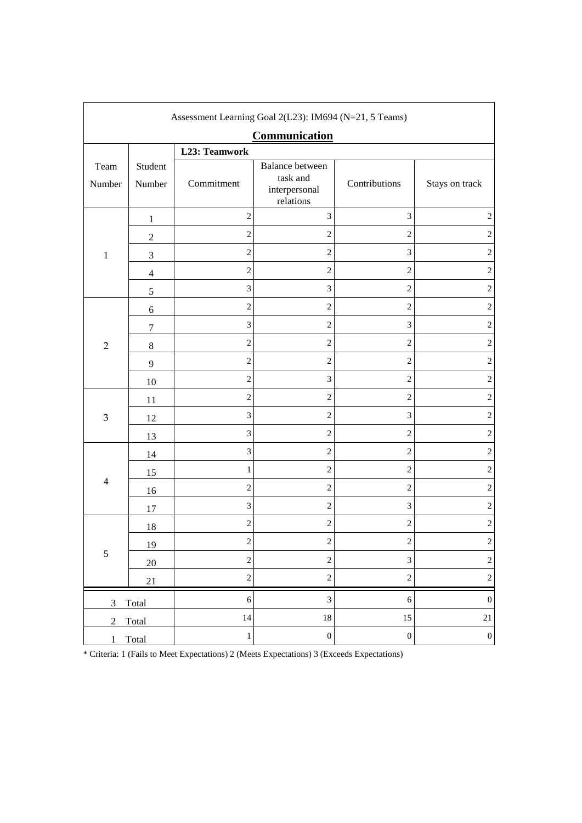| Assessment Learning Goal 2(L23): IM694 (N=21, 5 Teams) |                   |                         |                                                                  |                         |                         |  |
|--------------------------------------------------------|-------------------|-------------------------|------------------------------------------------------------------|-------------------------|-------------------------|--|
| Communication                                          |                   |                         |                                                                  |                         |                         |  |
|                                                        | L23: Teamwork     |                         |                                                                  |                         |                         |  |
| Team<br>Number                                         | Student<br>Number | Commitment              | <b>Balance between</b><br>task and<br>interpersonal<br>relations | Contributions           | Stays on track          |  |
|                                                        | $\mathbf{1}$      | $\sqrt{2}$              | $\mathfrak{Z}$                                                   | $\mathfrak{Z}$          | $\sqrt{2}$              |  |
|                                                        | $\boldsymbol{2}$  | $\sqrt{2}$              | $\overline{c}$                                                   | $\overline{2}$          | $\sqrt{2}$              |  |
| $\,1\,$                                                | $\mathfrak{Z}$    | $\overline{c}$          | $\overline{c}$                                                   | 3                       | $\sqrt{2}$              |  |
|                                                        | $\overline{4}$    | $\sqrt{2}$              | $\overline{c}$                                                   | $\overline{c}$          | $\sqrt{2}$              |  |
|                                                        | $\sqrt{5}$        | $\mathfrak{Z}$          | $\ensuremath{\mathfrak{Z}}$                                      | $\sqrt{2}$              | $\overline{c}$          |  |
|                                                        | $\boldsymbol{6}$  | $\sqrt{2}$              | $\sqrt{2}$                                                       | $\sqrt{2}$              | $\sqrt{2}$              |  |
|                                                        | $\boldsymbol{7}$  | $\mathfrak 3$           | $\sqrt{2}$                                                       | $\mathfrak{Z}$          | $\overline{c}$          |  |
| $\overline{2}$                                         | $\,8\,$           | $\overline{c}$          | $\overline{c}$                                                   | $\overline{c}$          | $\overline{c}$          |  |
|                                                        | $\overline{9}$    | $\overline{c}$          | $\overline{c}$                                                   | $\overline{2}$          | $\sqrt{2}$              |  |
|                                                        | 10                | $\sqrt{2}$              | $\sqrt{3}$                                                       | $\overline{c}$          | $\sqrt{2}$              |  |
|                                                        | 11                | $\sqrt{2}$              | $\sqrt{2}$                                                       | $\sqrt{2}$              | $\sqrt{2}$              |  |
| $\ensuremath{\mathfrak{Z}}$                            | 12                | $\mathfrak{Z}$          | $\overline{c}$                                                   | $\mathfrak{Z}$          | $\sqrt{2}$              |  |
|                                                        | 13                | $\mathfrak{Z}$          | $\overline{c}$                                                   | $\sqrt{2}$              | $\sqrt{2}$              |  |
|                                                        | 14                | $\mathfrak{Z}$          | $\overline{c}$                                                   | $\overline{c}$          | $\sqrt{2}$              |  |
|                                                        | 15                | $\mathbf{1}$            | $\overline{c}$                                                   | $\overline{2}$          | $\sqrt{2}$              |  |
| $\overline{4}$                                         | 16                | $\sqrt{2}$              | $\overline{c}$                                                   | $\overline{c}$          | $\sqrt{2}$              |  |
|                                                        | 17                | $\mathfrak{Z}$          | $\overline{c}$                                                   | 3                       | $\sqrt{2}$              |  |
|                                                        | 18                | $\sqrt{2}$              | $\overline{c}$                                                   | $\sqrt{2}$              | $\sqrt{2}$              |  |
| $\sqrt{5}$                                             | 19                | $\overline{\mathbf{c}}$ | $\overline{\mathbf{c}}$                                          | $\overline{\mathbf{c}}$ | $\overline{\mathbf{c}}$ |  |
|                                                        | $20\,$            | $\overline{c}$          | $\overline{c}$                                                   | $\mathfrak{Z}$          | $\overline{c}$          |  |
|                                                        | 21                | $\overline{c}$          | $\overline{c}$                                                   | $\sqrt{2}$              | $\overline{c}$          |  |
| 3                                                      | Total             | $\sqrt{6}$              | $\sqrt{3}$                                                       | $\sqrt{6}$              | $\boldsymbol{0}$        |  |
| $\mathfrak{2}$                                         | Total             | 14                      | $18\,$                                                           | 15                      | $21\,$                  |  |
| $\mathbf{1}$<br>Total                                  |                   | $\,1\,$                 | $\boldsymbol{0}$                                                 | $\boldsymbol{0}$        | $\boldsymbol{0}$        |  |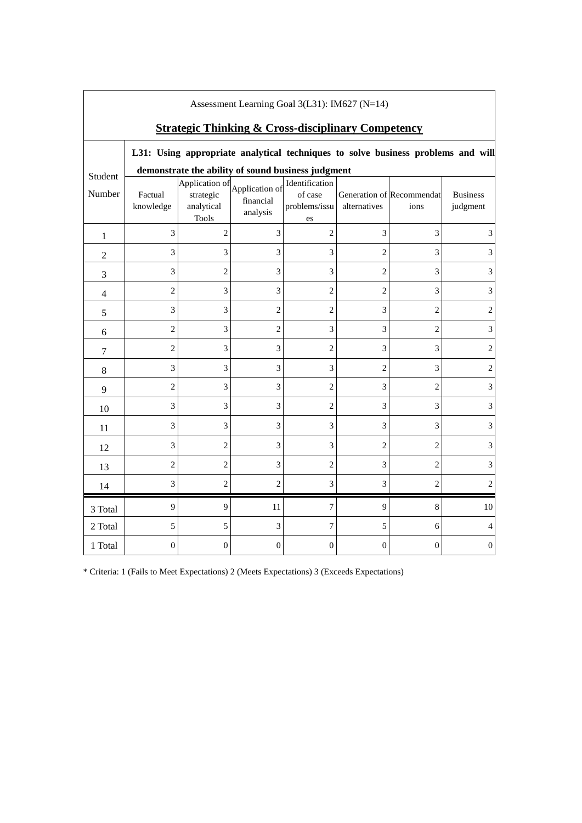| Assessment Learning Goal $3(L31)$ : IM627 (N=14)              |                                                    |                                                                                  |                                         |                                                  |                |                                   |                             |
|---------------------------------------------------------------|----------------------------------------------------|----------------------------------------------------------------------------------|-----------------------------------------|--------------------------------------------------|----------------|-----------------------------------|-----------------------------|
| <b>Strategic Thinking &amp; Cross-disciplinary Competency</b> |                                                    |                                                                                  |                                         |                                                  |                |                                   |                             |
|                                                               |                                                    | L31: Using appropriate analytical techniques to solve business problems and will |                                         |                                                  |                |                                   |                             |
| Student                                                       | demonstrate the ability of sound business judgment |                                                                                  |                                         |                                                  |                |                                   |                             |
| Number                                                        | Factual<br>knowledge                               | Application of<br>strategic<br>analytical<br><b>Tools</b>                        | Application of<br>financial<br>analysis | Identification<br>of case<br>problems/issu<br>es | alternatives   | Generation of Recommendat<br>ions | <b>Business</b><br>judgment |
| 1                                                             | 3                                                  | $\overline{2}$                                                                   | 3                                       | $\overline{2}$                                   | 3              | 3                                 | 3                           |
| $\mathbf{2}$                                                  | 3                                                  | 3                                                                                | 3                                       | 3                                                | $\overline{2}$ | 3                                 | 3                           |
| 3                                                             | 3                                                  | $\overline{c}$                                                                   | 3                                       | 3                                                | $\mathbf{2}$   | 3                                 | $\mathfrak{Z}$              |
| $\overline{4}$                                                | $\overline{2}$                                     | 3                                                                                | 3                                       | $\overline{2}$                                   | $\overline{2}$ | 3                                 | 3                           |
| 5                                                             | 3                                                  | 3                                                                                | $\overline{c}$                          | 2                                                | 3              | $\overline{c}$                    | 2                           |
| 6                                                             | $\overline{c}$                                     | 3                                                                                | $\overline{c}$                          | 3                                                | 3              | $\overline{c}$                    | $\ensuremath{\mathfrak{Z}}$ |
| 7                                                             | $\overline{c}$                                     | 3                                                                                | 3                                       | $\overline{2}$                                   | 3              | 3                                 | $\mathbf{2}$                |
| $\,8\,$                                                       | 3                                                  | 3                                                                                | 3                                       | 3                                                | $\overline{2}$ | 3                                 | $\mathbf{2}$                |
| 9                                                             | $\overline{c}$                                     | 3                                                                                | 3                                       | $\overline{c}$                                   | 3              | $\overline{2}$                    | 3                           |
| 10                                                            | 3                                                  | 3                                                                                | 3                                       | $\overline{2}$                                   | 3              | 3                                 | 3                           |
| 11                                                            | 3                                                  | 3                                                                                | 3                                       | 3                                                | 3              | 3                                 | 3                           |
| 12                                                            | 3                                                  | $\overline{c}$                                                                   | 3                                       | 3                                                | $\overline{c}$ | $\overline{c}$                    | 3                           |
| 13                                                            | $\overline{c}$                                     | $\overline{2}$                                                                   | 3                                       | $\overline{2}$                                   | 3              | $\overline{2}$                    | 3                           |
| 14                                                            | 3                                                  | $\overline{2}$                                                                   | $\overline{2}$                          | 3                                                | 3              | $\overline{2}$                    | $\overline{2}$              |
| 3 Total                                                       | 9                                                  | 9                                                                                | 11                                      | 7                                                | 9              | 8                                 | 10                          |
| 2 Total                                                       | 5                                                  | 5                                                                                | 3                                       | 7                                                | 5              | 6                                 | $\overline{4}$              |
| 1 Total                                                       | $\mathbf{0}$                                       | $\overline{0}$                                                                   | $\overline{0}$                          | $\theta$                                         | $\mathbf{0}$   | $\mathbf{0}$                      | $\boldsymbol{0}$            |

Assessment Learning Goal 3(L31): IM627 (N=14)

 $\overline{\phantom{a}}$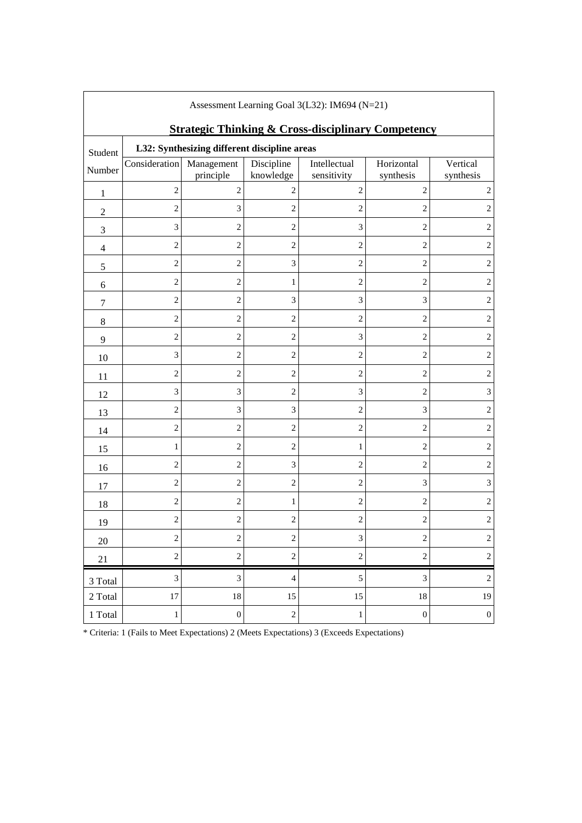| Assessment Learning Goal $3(L32)$ : IM694 (N=21) |                                                                                                               |                         |                             |                             |                         |                       |
|--------------------------------------------------|---------------------------------------------------------------------------------------------------------------|-------------------------|-----------------------------|-----------------------------|-------------------------|-----------------------|
| Student                                          | <b>Strategic Thinking &amp; Cross-disciplinary Competency</b><br>L32: Synthesizing different discipline areas |                         |                             |                             |                         |                       |
| Number                                           | Consideration                                                                                                 | Management<br>principle | Discipline<br>knowledge     | Intellectual<br>sensitivity | Horizontal<br>synthesis | Vertical<br>synthesis |
| 1                                                | $\overline{2}$                                                                                                | $\overline{2}$          | 2                           | $\overline{c}$              | $\overline{2}$          | 2                     |
| $\mathfrak{2}$                                   | $\mathfrak{2}$                                                                                                | 3                       | $\mathbf{2}$                | $\overline{c}$              | $\overline{2}$          | $\overline{2}$        |
| 3                                                | 3                                                                                                             | $\overline{c}$          | $\overline{c}$              | 3                           | $\overline{c}$          | 2                     |
| $\overline{4}$                                   | $\mathfrak{2}$                                                                                                | $\overline{c}$          | $\overline{2}$              | $\overline{c}$              | $\mathbf{2}$            | $\overline{2}$        |
| $\sqrt{5}$                                       | $\overline{c}$                                                                                                | $\overline{c}$          | $\ensuremath{\mathfrak{Z}}$ | $\overline{c}$              | $\mathbf{2}$            | $\overline{2}$        |
| 6                                                | $\overline{c}$                                                                                                | $\overline{2}$          | 1                           | $\overline{2}$              | $\mathfrak{2}$          | $\mathbf{2}$          |
| $\tau$                                           | $\overline{c}$                                                                                                | $\overline{c}$          | $\ensuremath{\mathfrak{Z}}$ | 3                           | 3                       | $\overline{2}$        |
| 8                                                | $\overline{c}$                                                                                                | $\overline{c}$          | $\overline{c}$              | $\overline{c}$              | $\overline{c}$          | $\overline{c}$        |
| 9                                                | $\sqrt{2}$                                                                                                    | $\overline{c}$          | $\sqrt{2}$                  | 3                           | $\sqrt{2}$              | $\sqrt{2}$            |
| 10                                               | 3                                                                                                             | $\overline{c}$          | $\overline{2}$              | $\overline{c}$              | $\mathfrak{2}$          | $\overline{2}$        |
| 11                                               | $\overline{2}$                                                                                                | $\overline{c}$          | $\sqrt{2}$                  | 2                           | $\mathfrak{2}$          | $\overline{c}$        |
| 12                                               | 3                                                                                                             | 3                       | $\overline{c}$              | 3                           | $\sqrt{2}$              | 3                     |
| 13                                               | $\overline{2}$                                                                                                | 3                       | 3                           | $\overline{c}$              | 3                       | $\overline{2}$        |
| 14                                               | $\overline{c}$                                                                                                | $\overline{c}$          | $\overline{c}$              | $\overline{c}$              | $\mathbf{2}$            | $\overline{2}$        |
| 15                                               | 1                                                                                                             | $\overline{c}$          | $\overline{2}$              | $\mathbf{1}$                | $\mathfrak{2}$          | $\overline{2}$        |
| 16                                               | 2                                                                                                             | $\overline{c}$          | $\ensuremath{\mathfrak{Z}}$ | $\overline{c}$              | $\sqrt{2}$              | $\overline{c}$        |
| 17                                               | $\overline{c}$                                                                                                | $\overline{c}$          | $\overline{c}$              | $\overline{c}$              | 3                       | 3                     |
| 18                                               | $\overline{2}$                                                                                                | $\overline{c}$          | 1                           | $\overline{c}$              | $\mathfrak{2}$          | $\overline{2}$        |
| 19                                               | 2                                                                                                             | $\overline{c}$          | $\overline{2}$              | $\overline{2}$              | $\mathfrak{2}$          | $\overline{c}$        |
| $20\,$                                           | 2                                                                                                             | 2                       | $\overline{c}$              | 3                           | 2                       | $\overline{c}$        |
| 21                                               | $\sqrt{2}$                                                                                                    | $\overline{c}$          | $\sqrt{2}$                  | $\sqrt{2}$                  | $\sqrt{2}$              | $\sqrt{2}$            |
| 3 Total                                          | $\ensuremath{\mathfrak{Z}}$                                                                                   | 3                       | $\overline{4}$              | $\sqrt{5}$                  | 3                       | $\sqrt{2}$            |
| 2 Total                                          | 17                                                                                                            | $18\,$                  | 15                          | 15                          | $18\,$                  | 19                    |
| 1 Total                                          | $\mathbf{1}$                                                                                                  | $\boldsymbol{0}$        | $\sqrt{2}$                  | $\,1$                       | $\boldsymbol{0}$        | $\boldsymbol{0}$      |

Assessment Learning Goal 3(L32): IM694 (N=21)

٦

 $\overline{\phantom{a}}$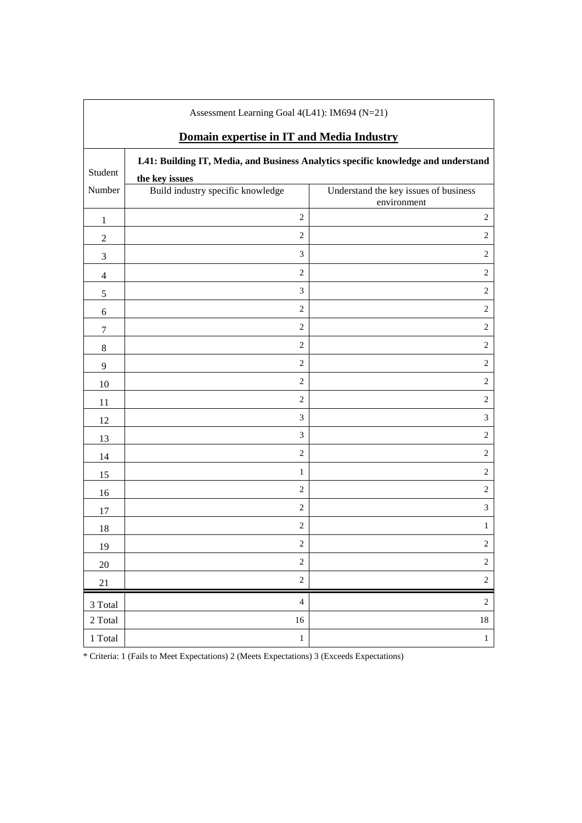| Assessment Learning Goal 4(L41): IM694 (N=21)                                                |                                                     |                                                      |  |  |  |  |
|----------------------------------------------------------------------------------------------|-----------------------------------------------------|------------------------------------------------------|--|--|--|--|
| Domain expertise in IT and Media Industry                                                    |                                                     |                                                      |  |  |  |  |
| L41: Building IT, Media, and Business Analytics specific knowledge and understand<br>Student |                                                     |                                                      |  |  |  |  |
| Number                                                                                       | the key issues<br>Build industry specific knowledge | Understand the key issues of business<br>environment |  |  |  |  |
| 1                                                                                            | $\mathbf{2}$                                        | $\sqrt{2}$                                           |  |  |  |  |
| $\mathbf{2}$                                                                                 | $\mathbf{2}$                                        | $\mathbf{2}$                                         |  |  |  |  |
| 3                                                                                            | 3                                                   | $\overline{c}$                                       |  |  |  |  |
| $\overline{4}$                                                                               | $\mathbf{2}$                                        | $\mathfrak{2}$                                       |  |  |  |  |
| 5                                                                                            | $\mathfrak{Z}$                                      | $\overline{c}$                                       |  |  |  |  |
| 6                                                                                            | $\sqrt{2}$                                          | 2                                                    |  |  |  |  |
| $\tau$                                                                                       | $\mathbf{2}$                                        | $\overline{c}$                                       |  |  |  |  |
| 8                                                                                            | $\sqrt{2}$                                          | $\overline{c}$                                       |  |  |  |  |
| 9                                                                                            | $\sqrt{2}$                                          | $\sqrt{2}$                                           |  |  |  |  |
| 10                                                                                           | $\mathbf{2}$                                        | $\mathfrak{2}$                                       |  |  |  |  |
| 11                                                                                           | $\overline{c}$                                      | $\overline{c}$                                       |  |  |  |  |
| 12                                                                                           | $\ensuremath{\mathfrak{Z}}$                         | $\mathfrak{Z}$                                       |  |  |  |  |
| 13                                                                                           | $\mathfrak{Z}$                                      | $\overline{c}$                                       |  |  |  |  |
| 14                                                                                           | $\overline{c}$                                      | $\boldsymbol{2}$                                     |  |  |  |  |
| 15                                                                                           | $\mathbf{1}$                                        | $\sqrt{2}$                                           |  |  |  |  |
| 16                                                                                           | $\,2$                                               | $\overline{c}$                                       |  |  |  |  |
| 17                                                                                           | $\overline{c}$                                      | $\ensuremath{\mathfrak{Z}}$                          |  |  |  |  |
| 18                                                                                           | $\sqrt{2}$                                          | $\mathbf{1}$                                         |  |  |  |  |
| 19                                                                                           | $\overline{2}$                                      | $\overline{2}$                                       |  |  |  |  |
| 20                                                                                           | $\sqrt{2}$                                          | $\sqrt{2}$                                           |  |  |  |  |
| 21                                                                                           | $\sqrt{2}$                                          | $\sqrt{2}$                                           |  |  |  |  |
| 3 Total                                                                                      | $\overline{4}$                                      | $\sqrt{2}$                                           |  |  |  |  |
| 2 Total                                                                                      | 16                                                  | $18\,$                                               |  |  |  |  |
| $1\ \mathrm{Total}$                                                                          | $\,1$                                               | $\mathbf{1}$                                         |  |  |  |  |

 $\overline{\phantom{a}}$